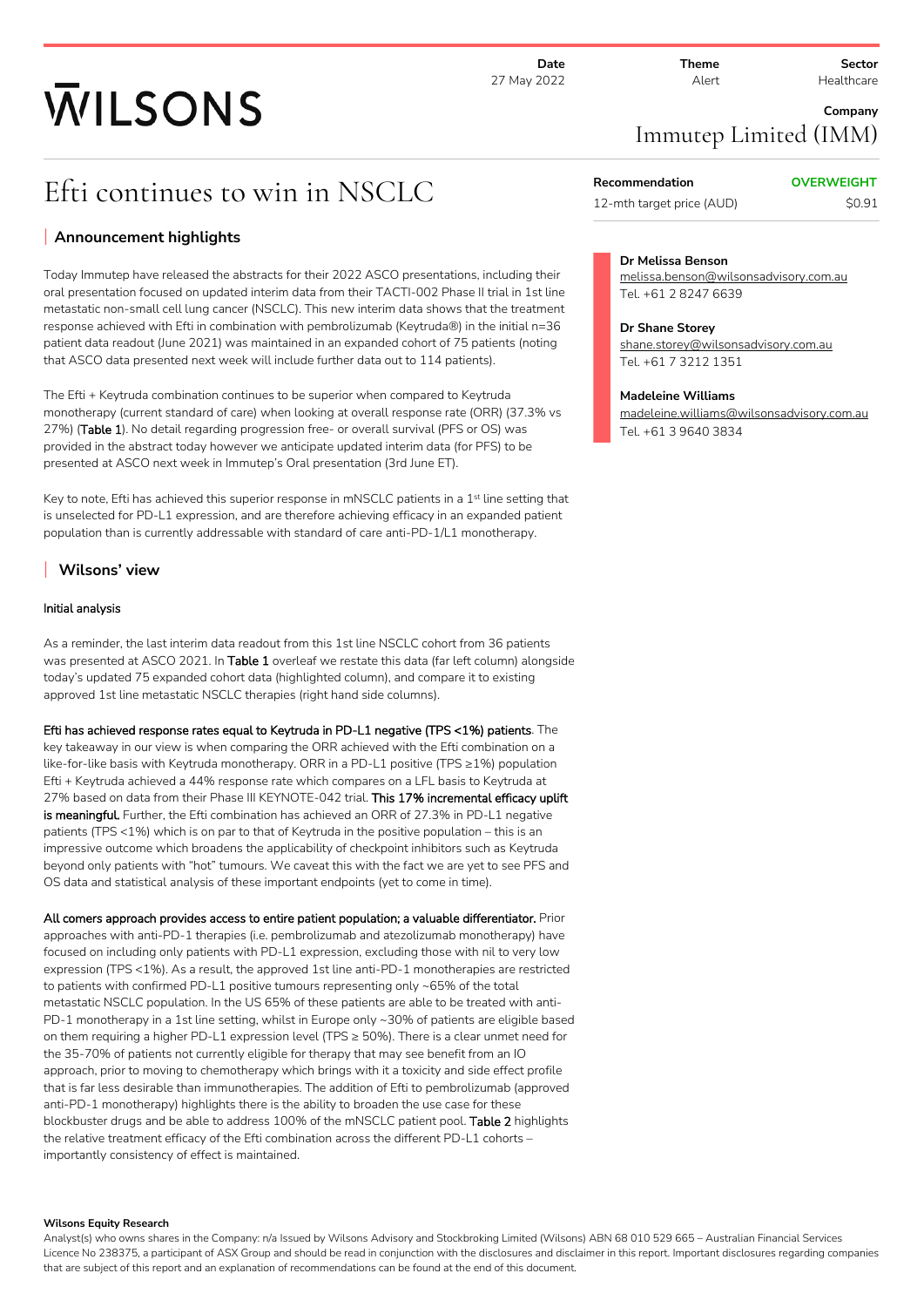**Date** 27 May 2022 **Theme** Alert

**Sector** Healthcare

# **WILSONS**

Efti continues to win in NSCLC

# **Announcement highlights**

Today Immutep have released the abstracts for their 2022 ASCO presentations, including their oral presentation focused on updated interim data from their TACTI-002 Phase II trial in 1st line metastatic non-small cell lung cancer (NSCLC). This new interim data shows that the treatment response achieved with Efti in combination with pembrolizumab (Keytruda®) in the initial n=36 patient data readout (June 2021) was maintained in an expanded cohort of 75 patients (noting that ASCO data presented next week will include further data out to 114 patients).

The Efti + Keytruda combination continues to be superior when compared to Keytruda monotherapy (current standard of care) when looking at overall response rate (ORR) (37.3% vs 27%) (**Table 1**). No detail regarding progression free- or overall survival (PFS or OS) was provided in the abstract today however we anticipate updated interim data (for PFS) to be presented at ASCO next week in Immutep's Oral presentation (3rd June ET).

Key to note, Efti has achieved this superior response in mNSCLC patients in a 1<sup>st</sup> line setting that is unselected for PD-L1 expression, and are therefore achieving efficacy in an expanded patient population than is currently addressable with standard of care anti-PD-1/L1 monotherapy.

# **Wilsons' view**

#### **Initial analysis**

As a reminder, the last interim data readout from this 1st line NSCLC cohort from 36 patients was presented at ASCO 2021. In **Table 1** overleaf we restate this data (far left column) alongside today's updated 75 expanded cohort data (highlighted column), and compare it to existing approved 1st line metastatic NSCLC therapies (right hand side columns).

**Efti has achieved response rates equal to Keytruda in PD-L1 negative (TPS <1%) patients**. The key takeaway in our view is when comparing the ORR achieved with the Efti combination on a like-for-like basis with Keytruda monotherapy. ORR in a PD-L1 positive (TPS ≥1%) population Efti + Keytruda achieved a 44% response rate which compares on a LFL basis to Keytruda at 27% based on data from their Phase III KEYNOTE-042 trial. **This 17% incremental efficacy uplift is meaningful.** Further, the Efti combination has achieved an ORR of 27.3% in PD-L1 negative patients (TPS <1%) which is on par to that of Keytruda in the positive population – this is an impressive outcome which broadens the applicability of checkpoint inhibitors such as Keytruda beyond only patients with "hot" tumours. We caveat this with the fact we are yet to see PFS and OS data and statistical analysis of these important endpoints (yet to come in time).

**All comers approach provides access to entire patient population; a valuable differentiator.** Prior approaches with anti-PD-1 therapies (i.e. pembrolizumab and atezolizumab monotherapy) have focused on including only patients with PD-L1 expression, excluding those with nil to very low expression (TPS <1%). As a result, the approved 1st line anti-PD-1 monotherapies are restricted to patients with confirmed PD-L1 positive tumours representing only ~65% of the total metastatic NSCLC population. In the US 65% of these patients are able to be treated with anti-PD-1 monotherapy in a 1st line setting, whilst in Europe only ~30% of patients are eligible based on them requiring a higher PD-L1 expression level (TPS ≥ 50%). There is a clear unmet need for the 35-70% of patients not currently eligible for therapy that may see benefit from an IO approach, prior to moving to chemotherapy which brings with it a toxicity and side effect profile that is far less desirable than immunotherapies. The addition of Efti to pembrolizumab (approved anti-PD-1 monotherapy) highlights there is the ability to broaden the use case for these blockbuster drugs and be able to address 100% of the mNSCLC patient pool. **Table 2** highlights the relative treatment efficacy of the Efti combination across the different PD-L1 cohorts – importantly consistency of effect is maintained.

#### **Wilsons Equity Research**

**Company** Immutep Limited (IMM)

**Recommendation OVERWEIGHT** 12-mth target price (AUD) \$0.91

## **Dr Melissa Benson**

melissa.benson@wilsonsadvisory.com.au Tel. +61 2 8247 6639

#### **Dr Shane Storey**

shane.storey@wilsonsadvisory.com.au Tel. +61 7 3212 1351

#### **Madeleine Williams**

madeleine.williams@wilsonsadvisory.com.au Tel. +61 3 9640 3834

Analyst(s) who owns shares in the Company: n/a Issued by Wilsons Advisory and Stockbroking Limited (Wilsons) ABN 68 010 529 665 – Australian Financial Services Licence No 238375, a participant of ASX Group and should be read in conjunction with the disclosures and disclaimer in this report. Important disclosures regarding companies that are subject of this report and an explanation of recommendations can be found at the end of this document.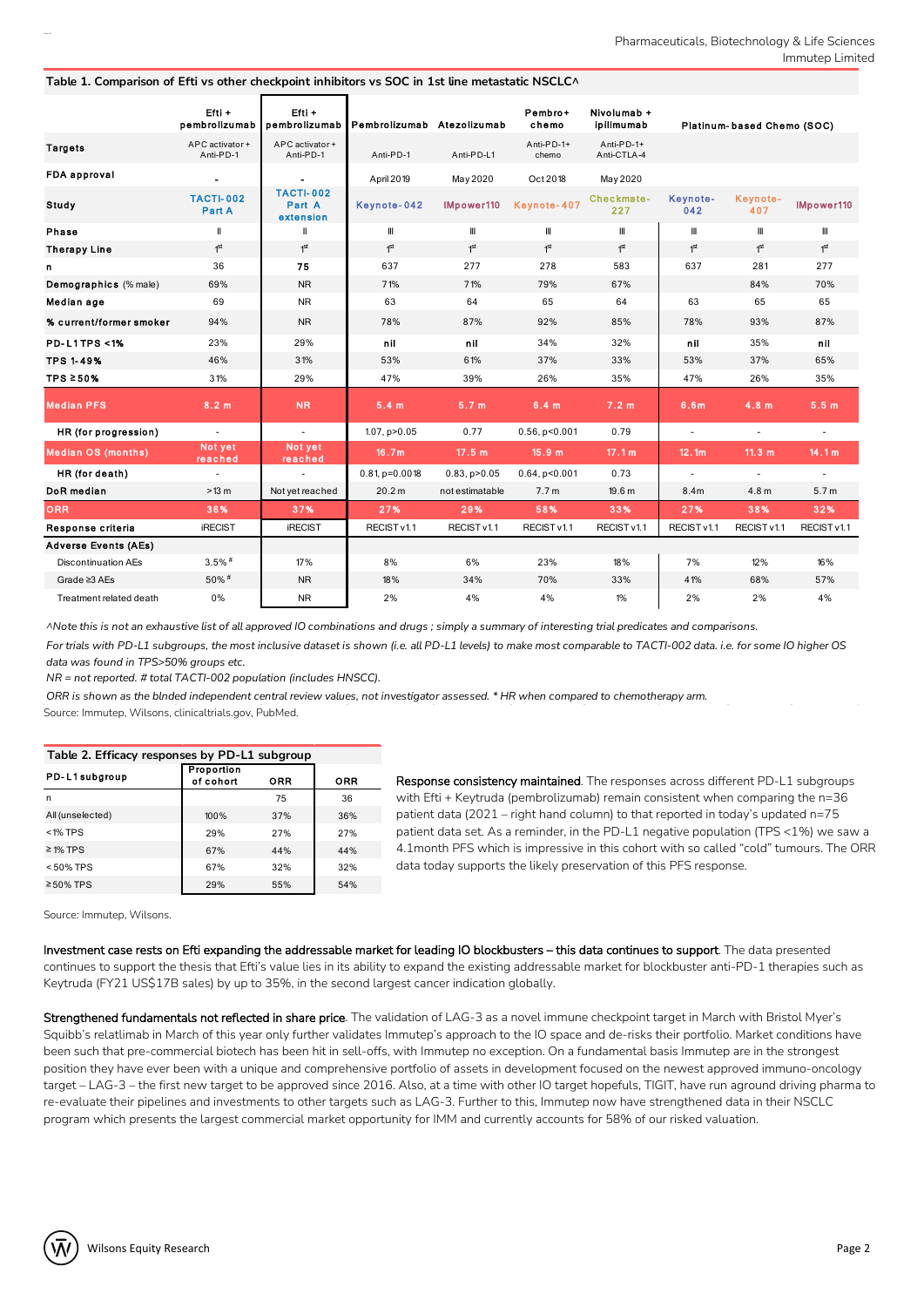|                             | $Efti +$<br>pembrolizumab    | Efti +<br>pembrolizumab                 | Pembrolizumab Atezolizumab |                     | Pembro+<br>chemo    | Nivolumab +<br>ipilimumab |                  | Platinum-based Chemo (SOC) |                          |
|-----------------------------|------------------------------|-----------------------------------------|----------------------------|---------------------|---------------------|---------------------------|------------------|----------------------------|--------------------------|
| <b>Targets</b>              | APC activator +<br>Anti-PD-1 | APC activator+<br>Anti-PD-1             | Anti-PD-1                  | Anti-PD-L1          | Anti-PD-1+<br>chemo | Anti-PD-1+<br>Anti-CTLA-4 |                  |                            |                          |
| <b>FDA approval</b>         |                              |                                         | April 2019                 | May 2020            | Oct 2018            | May 2020                  |                  |                            |                          |
| Study                       | <b>TACTI-002</b><br>Part A   | <b>TACTI-002</b><br>Part A<br>extension | Keynote-042                | IMpower110          | Keynote-407         | Checkmate-<br>227         | Keynote-<br>042  | Keynote-<br>407            | IMpower110               |
| Phase                       | Ш                            | Ш                                       | Ш                          | Ш                   | Ш                   | Ш                         | Ш                | Ш                          | Ш                        |
| <b>Therapy Line</b>         | 1 <sup>st</sup>              | 1 <sup>st</sup>                         | 1 <sup>st</sup>            | 1 <sup>st</sup>     | 1 <sup>st</sup>     | 1 <sup>st</sup>           | 1 <sup>st</sup>  | 1 <sup>st</sup>            | 1 <sup>st</sup>          |
| n                           | 36                           | 75                                      | 637                        | 277                 | 278                 | 583                       | 637              | 281                        | 277                      |
| Demographics (% male)       | 69%                          | <b>NR</b>                               | 71%                        | 71%                 | 79%                 | 67%                       |                  | 84%                        | 70%                      |
| Median age                  | 69                           | <b>NR</b>                               | 63                         | 64                  | 65                  | 64                        | 63               | 65                         | 65                       |
| % current/former smoker     | 94%                          | <b>NR</b>                               | 78%                        | 87%                 | 92%                 | 85%                       | 78%              | 93%                        | 87%                      |
| <b>PD-L1TPS &lt;1%</b>      | 23%                          | 29%                                     | nil                        | nil                 | 34%                 | 32%                       | nil              | 35%                        | nil                      |
| <b>TPS 1-49%</b>            | 46%                          | 31%                                     | 53%                        | 61%                 | 37%                 | 33%                       | 53%              | 37%                        | 65%                      |
| TPS $\geq 50\%$             | 31%                          | 29%                                     | 47%                        | 39%                 | 26%                 | 35%                       | 47%              | 26%                        | 35%                      |
| <b>Median PFS</b>           | 8.2 m                        | <b>NR</b>                               | 5.4 m                      | 5.7 <sub>m</sub>    | 6.4 m               | 7.2 <sub>m</sub>          | 6.6 <sub>m</sub> | 4.8 m                      | 5.5 <sub>m</sub>         |
| HR (for progression)        | $\sim$                       | $\sim$                                  | $1.07$ , $p > 0.05$        | 0.77                | $0.56$ , $p<0.001$  | 0.79                      | $\sim$           | $\blacksquare$             | $\overline{\phantom{a}}$ |
| <b>Median OS (months)</b>   | Not yet<br>reached           | Not yet<br>reached                      | 16.7m                      | 17.5 m              | 15.9 m              | 17.1 m                    | 12.1m            | 11.3 $m$                   | 14.1 m                   |
| HR (for death)              | $\blacksquare$               | $\sim$                                  | $0.81$ , $p=0.0018$        | $0.83$ , $p > 0.05$ | $0.64$ , $p<0.001$  | 0.73                      | $\sim$           | $\sim$                     | $\sim$                   |
| DoR median                  | >13 m                        | Not yet reached                         | 20.2 m                     | not estimatable     | 7.7 <sub>m</sub>    | 19.6 <sub>m</sub>         | 8.4m             | 4.8 <sub>m</sub>           | 5.7 <sub>m</sub>         |
| <b>ORR</b>                  | 36%                          | 37%                                     | 27%                        | 29%                 | 58%                 | 33%                       | 27%              | 38%                        | 32%                      |
| Response criteria           | <b>iRECIST</b>               | <b>iRECIST</b>                          | RECIST v1.1                | RECIST v1.1         | RECIST v1.1         | RECIST v1.1               | RECIST v1.1      | RECIST v1.1                | RECIST v1.1              |
| <b>Adverse Events (AEs)</b> |                              |                                         |                            |                     |                     |                           |                  |                            |                          |
| <b>Discontinuation AEs</b>  | $3.5\%$ #                    | 17%                                     | 8%                         | 6%                  | 23%                 | 18%                       | 7%               | 12%                        | 16%                      |
| Grade ≥3 AEs                | 50%#                         | <b>NR</b>                               | 18%                        | 34%                 | 70%                 | 33%                       | 41%              | 68%                        | 57%                      |
| Treatment related death     | 0%                           | <b>NR</b>                               | 2%                         | 4%                  | 4%                  | $1\%$                     | 2%               | 2%                         | 4%                       |

#### **Table 1. Comparison of Efti vs other checkpoint inhibitors vs SOC in 1st line metastatic NSCLC^**

ANote this is not an exhaustive list of all approved IO combinations and drugs; simply a summary of interesting trial predicates and comparisons.

For trials with PD-L1 subgroups, the most inclusive dataset is shown (i.e. all PD-L1 levels) to make most comparable to TACTI-002 data. i.e. for some IO higher OS *data was found in TPS>50% groups etc.*

*NR = not reported. # total TACTI-002 population (includes HNSCC).*

ORR is shown as the blnded independent central review values, not investigator assessed. \* HR when compared to chemotherapy arm.

Source: Immutep, Wilsons, clinicaltrials.gov, PubMed.

| Table 2. Efficacy responses by PD-L1 subgroup |                                |            |            |  |  |  |  |  |  |
|-----------------------------------------------|--------------------------------|------------|------------|--|--|--|--|--|--|
| PD-L1subgroup                                 | <b>Proportion</b><br>of cohort | <b>ORR</b> | <b>ORR</b> |  |  |  |  |  |  |
| n                                             |                                | 75         | 36         |  |  |  |  |  |  |
| All (unselected)                              | 100%                           | 37%        | 36%        |  |  |  |  |  |  |
| $<$ 1% TPS                                    | 29%                            | 27%        | 27%        |  |  |  |  |  |  |
| $\geq$ 1% TPS                                 | 67%                            | 44%        | 44%        |  |  |  |  |  |  |
| $< 50\%$ TPS                                  | 67%                            | 32%        | 32%        |  |  |  |  |  |  |
| $\geq 50\%$ TPS                               | 29%                            | 55%        | 54%        |  |  |  |  |  |  |

**Response consistency maintained**. The responses across different PD-L1 subgroups with Efti + Keytruda (pembrolizumab) remain consistent when comparing the n=36 patient data (2021 – right hand column) to that reported in today's updated n=75 patient data set. As a reminder, in the PD-L1 negative population (TPS <1%) we saw a 4.1month PFS which is impressive in this cohort with so called "cold" tumours. The ORR data today supports the likely preservation of this PFS response.

Source: Immutep, Wilsons.

**Investment case rests on Efti expanding the addressable market for leading IO blockbusters – this data continues to support**. The data presented continues to support the thesis that Efti's value lies in its ability to expand the existing addressable market for blockbuster anti-PD-1 therapies such as Keytruda (FY21 US\$17B sales) by up to 35%, in the second largest cancer indication globally.

**Strengthened fundamentals not reflected in share price**. The validation of LAG-3 as a novel immune checkpoint target in March with Bristol Myer's Squibb's relatlimab in March of this year only further validates Immutep's approach to the IO space and de-risks their portfolio. Market conditions have been such that pre-commercial biotech has been hit in sell-offs, with Immutep no exception. On a fundamental basis Immutep are in the strongest position they have ever been with a unique and comprehensive portfolio of assets in development focused on the newest approved immuno-oncology target – LAG-3 – the first new target to be approved since 2016. Also, at a time with other IO target hopefuls, TIGIT, have run aground driving pharma to re-evaluate their pipelines and investments to other targets such as LAG-3. Further to this, Immutep now have strengthened data in their NSCLC program which presents the largest commercial market opportunity for IMM and currently accounts for 58% of our risked valuation.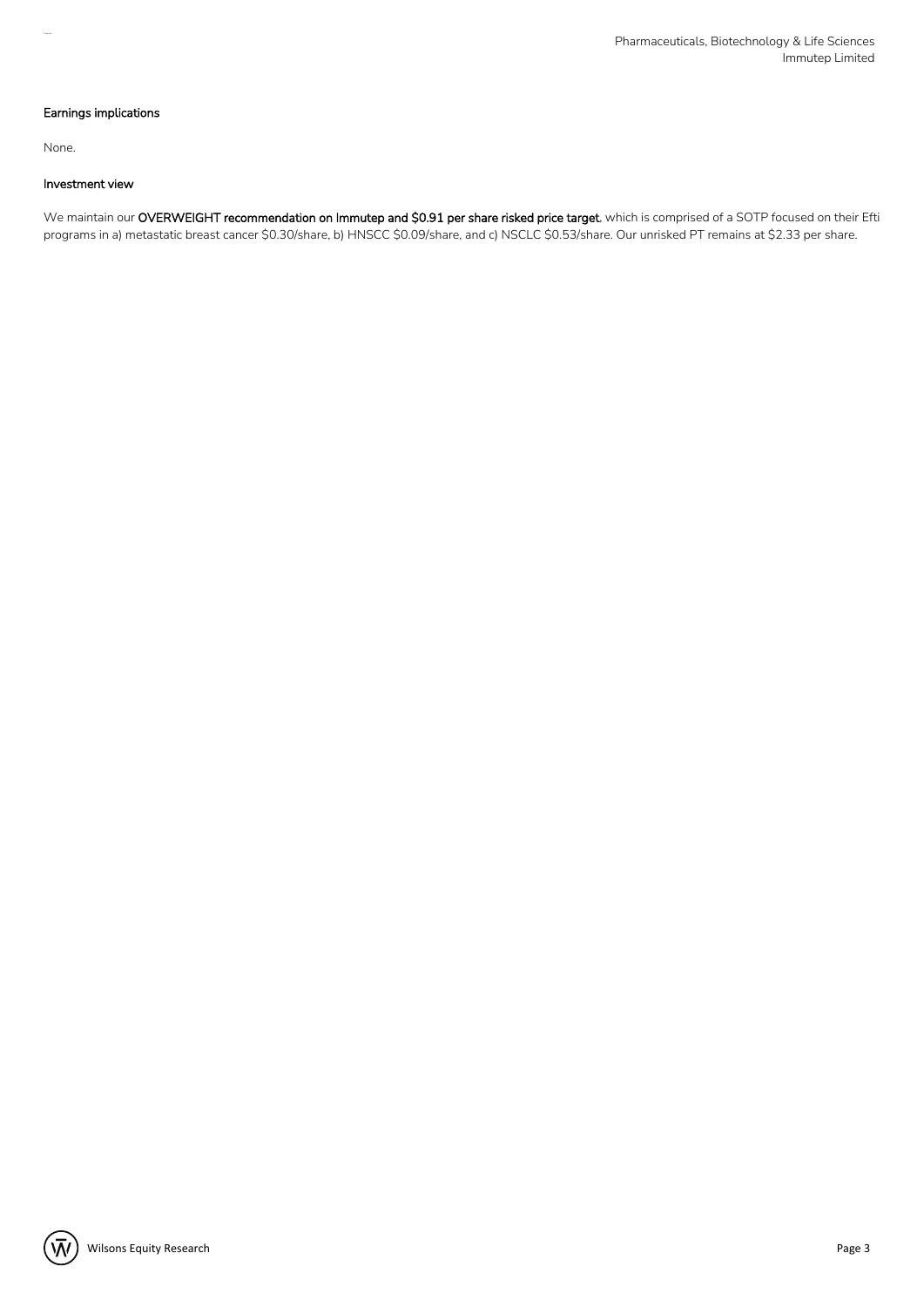#### **Earnings implications**

None.

#### **Investment view**

We maintain our **OVERWEIGHT recommendation on Immutep and \$0.91 per share risked price target**, which is comprised of a SOTP focused on their Efti programs in a) metastatic breast cancer \$0.30/share, b) HNSCC \$0.09/share, and c) NSCLC \$0.53/share. Our unrisked PT remains at \$2.33 per share.